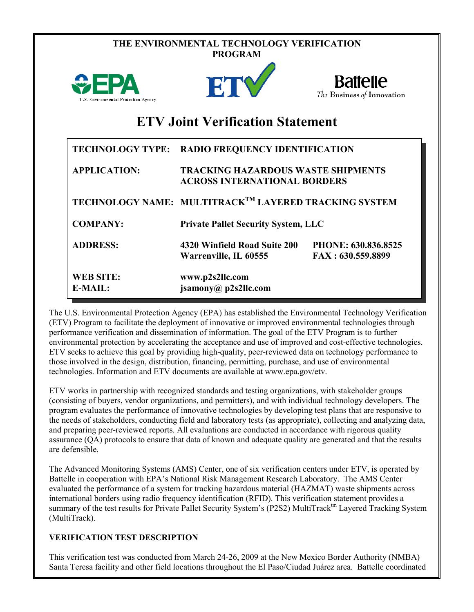|                                         | THE ENVIRONMENTAL TECHNOLOGY VERIFICATION<br><b>PROGRAM</b>                      |                                               |  |  |  |  |
|-----------------------------------------|----------------------------------------------------------------------------------|-----------------------------------------------|--|--|--|--|
| U.S. Environmental Protection Agency    | <b>FT</b>                                                                        | <b>Battelle</b><br>The Business of Innovation |  |  |  |  |
| <b>ETV Joint Verification Statement</b> |                                                                                  |                                               |  |  |  |  |
| <b>TECHNOLOGY TYPE:</b>                 | <b>RADIO FREQUENCY IDENTIFICATION</b>                                            |                                               |  |  |  |  |
| <b>APPLICATION:</b>                     | <b>TRACKING HAZARDOUS WASTE SHIPMENTS</b><br><b>ACROSS INTERNATIONAL BORDERS</b> |                                               |  |  |  |  |
|                                         | TECHNOLOGY NAME: MULTITRACK <sup>TM</sup> LAYERED TRACKING SYSTEM                |                                               |  |  |  |  |
| <b>COMPANY:</b>                         | <b>Private Pallet Security System, LLC</b>                                       |                                               |  |  |  |  |
| <b>ADDRESS:</b>                         | 4320 Winfield Road Suite 200<br>Warrenville, IL 60555                            | PHONE: 630.836.8525<br>FAX: 630.559.8899      |  |  |  |  |
| <b>WEB SITE:</b><br>$E-MAIL:$           | www.p2s2llc.com<br>jsamony@ p2s2llc.com                                          |                                               |  |  |  |  |

The U.S. Environmental Protection Agency (EPA) has established the Environmental Technology Verification (ETV) Program to facilitate the deployment of innovative or improved environmental technologies through performance verification and dissemination of information. The goal of the ETV Program is to further environmental protection by accelerating the acceptance and use of improved and cost-effective technologies. ETV seeks to achieve this goal by providing high-quality, peer-reviewed data on technology performance to those involved in the design, distribution, financing, permitting, purchase, and use of environmental technologies. Information and ETV documents are available at www.epa.gov/etv.

ETV works in partnership with recognized standards and testing organizations, with stakeholder groups (consisting of buyers, vendor organizations, and permitters), and with individual technology developers. The program evaluates the performance of innovative technologies by developing test plans that are responsive to the needs of stakeholders, conducting field and laboratory tests (as appropriate), collecting and analyzing data, and preparing peer-reviewed reports. All evaluations are conducted in accordance with rigorous quality assurance (QA) protocols to ensure that data of known and adequate quality are generated and that the results are defensible.

The Advanced Monitoring Systems (AMS) Center, one of six verification centers under ETV, is operated by Battelle in cooperation with EPA's National Risk Management Research Laboratory. The AMS Center evaluated the performance of a system for tracking hazardous material (HAZMAT) waste shipments across international borders using radio frequency identification (RFID). This verification statement provides a summary of the test results for Private Pallet Security System's (P2S2) MultiTrack<sup>tm</sup> Layered Tracking System (MultiTrack).

## **VERIFICATION TEST DESCRIPTION**

This verification test was conducted from March 24-26, 2009 at the New Mexico Border Authority (NMBA) Santa Teresa facility and other field locations throughout the El Paso/Ciudad Juárez area. Battelle coordinated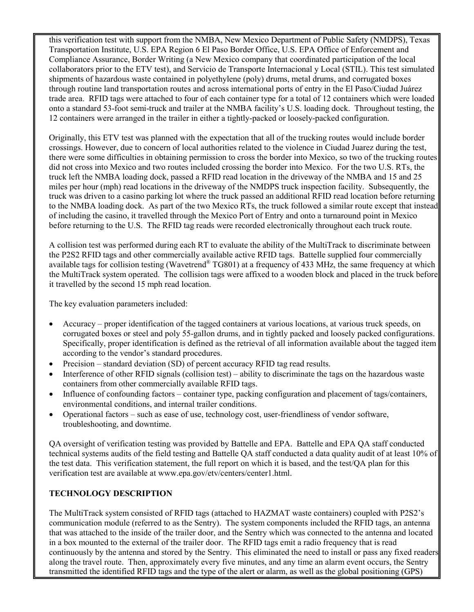this verification test with support from the NMBA, New Mexico Department of Public Safety (NMDPS), Texas Transportation Institute, U.S. EPA Region 6 El Paso Border Office, U.S. EPA Office of Enforcement and Compliance Assurance, Border Writing (a New Mexico company that coordinated participation of the local collaborators prior to the ETV test), and Servicio de Transporte Internacional y Local (STIL). This test simulated shipments of hazardous waste contained in polyethylene (poly) drums, metal drums, and corrugated boxes through routine land transportation routes and across international ports of entry in the El Paso/Ciudad Juárez trade area. RFID tags were attached to four of each container type for a total of 12 containers which were loaded onto a standard 53-foot semi-truck and trailer at the NMBA facility's U.S. loading dock. Throughout testing, the 12 containers were arranged in the trailer in either a tightly-packed or loosely-packed configuration.

Originally, this ETV test was planned with the expectation that all of the trucking routes would include border crossings. However, due to concern of local authorities related to the violence in Ciudad Juarez during the test, there were some difficulties in obtaining permission to cross the border into Mexico, so two of the trucking routes did not cross into Mexico and two routes included crossing the border into Mexico. For the two U.S. RTs, the truck left the NMBA loading dock, passed a RFID read location in the driveway of the NMBA and 15 and 25 miles per hour (mph) read locations in the driveway of the NMDPS truck inspection facility. Subsequently, the truck was driven to a casino parking lot where the truck passed an additional RFID read location before returning to the NMBA loading dock. As part of the two Mexico RTs, the truck followed a similar route except that instead of including the casino, it travelled through the Mexico Port of Entry and onto a turnaround point in Mexico before returning to the U.S. The RFID tag reads were recorded electronically throughout each truck route.

A collision test was performed during each RT to evaluate the ability of the MultiTrack to discriminate between the P2S2 RFID tags and other commercially available active RFID tags. Battelle supplied four commercially available tags for collision testing (Wavetrend® TG801) at a frequency of 433 MHz, the same frequency at which the MultiTrack system operated. The collision tags were affixed to a wooden block and placed in the truck before it travelled by the second 15 mph read location.

The key evaluation parameters included:

- Accuracy proper identification of the tagged containers at various locations, at various truck speeds, on corrugated boxes or steel and poly 55-gallon drums, and in tightly packed and loosely packed configurations. Specifically, proper identification is defined as the retrieval of all information available about the tagged item according to the vendor's standard procedures.
- Precision standard deviation (SD) of percent accuracy RFID tag read results.
- Interference of other RFID signals (collision test) ability to discriminate the tags on the hazardous waste containers from other commercially available RFID tags.
- Influence of confounding factors container type, packing configuration and placement of tags/containers, environmental conditions, and internal trailer conditions.
- Operational factors such as ease of use, technology cost, user-friendliness of vendor software, troubleshooting, and downtime.

QA oversight of verification testing was provided by Battelle and EPA. Battelle and EPA QA staff conducted technical systems audits of the field testing and Battelle QA staff conducted a data quality audit of at least 10% of the test data. This verification statement, the full report on which it is based, and the test/QA plan for this verification test are available at www.epa.gov/etv/centers/center1.html.

## **TECHNOLOGY DESCRIPTION**

The MultiTrack system consisted of RFID tags (attached to HAZMAT waste containers) coupled with P2S2's communication module (referred to as the Sentry). The system components included the RFID tags, an antenna that was attached to the inside of the trailer door, and the Sentry which was connected to the antenna and located in a box mounted to the external of the trailer door. The RFID tags emit a radio frequency that is read continuously by the antenna and stored by the Sentry. This eliminated the need to install or pass any fixed readers along the travel route. Then, approximately every five minutes, and any time an alarm event occurs, the Sentry transmitted the identified RFID tags and the type of the alert or alarm, as well as the global positioning (GPS)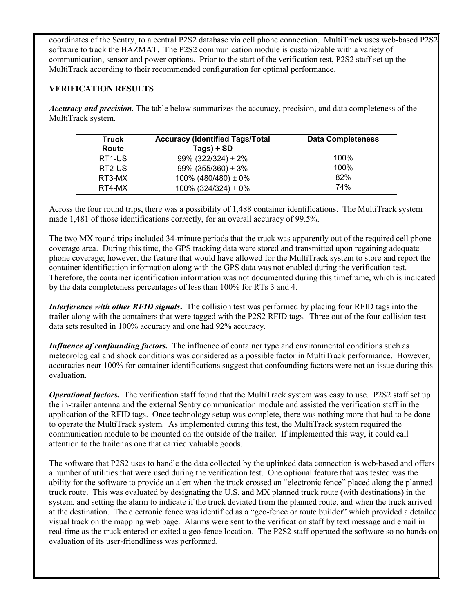coordinates of the Sentry, to a central P2S2 database via cell phone connection. MultiTrack uses web-based P2S2 software to track the HAZMAT. The P2S2 communication module is customizable with a variety of communication, sensor and power options. Prior to the start of the verification test, P2S2 staff set up the MultiTrack according to their recommended configuration for optimal performance.

## **VERIFICATION RESULTS**

*Accuracy and precision.* The table below summarizes the accuracy, precision, and data completeness of the MultiTrack system.

| Truck               | <b>Accuracy (Identified Tags/Total</b> | <b>Data Completeness</b> |
|---------------------|----------------------------------------|--------------------------|
| Route               | Tags) $\pm$ SD                         |                          |
| RT <sub>1</sub> -US | 99% (322/324) $\pm$ 2%                 | 100%                     |
| RT2-US              | 99% (355/360) $\pm$ 3%                 | 100%                     |
| RT3-MX              | 100% (480/480) $\pm$ 0%                | 82%                      |
| RT4-MX              | 100% (324/324) $\pm$ 0%                | <b>74%</b>               |

Across the four round trips, there was a possibility of 1,488 container identifications. The MultiTrack system made 1,481 of those identifications correctly, for an overall accuracy of 99.5%.

The two MX round trips included 34-minute periods that the truck was apparently out of the required cell phone coverage area. During this time, the GPS tracking data were stored and transmitted upon regaining adequate phone coverage; however, the feature that would have allowed for the MultiTrack system to store and report the container identification information along with the GPS data was not enabled during the verification test. Therefore, the container identification information was not documented during this timeframe, which is indicated by the data completeness percentages of less than 100% for RTs 3 and 4.

*Interference with other RFID signals***.** The collision test was performed by placing four RFID tags into the trailer along with the containers that were tagged with the P2S2 RFID tags. Three out of the four collision test data sets resulted in 100% accuracy and one had 92% accuracy.

*Influence of confounding factors.* The influence of container type and environmental conditions such as meteorological and shock conditions was considered as a possible factor in MultiTrack performance. However, accuracies near 100% for container identifications suggest that confounding factors were not an issue during this evaluation.

*Operational factors.* The verification staff found that the MultiTrack system was easy to use. P2S2 staff set up the in-trailer antenna and the external Sentry communication module and assisted the verification staff in the application of the RFID tags. Once technology setup was complete, there was nothing more that had to be done to operate the MultiTrack system. As implemented during this test, the MultiTrack system required the communication module to be mounted on the outside of the trailer. If implemented this way, it could call attention to the trailer as one that carried valuable goods.

The software that P2S2 uses to handle the data collected by the uplinked data connection is web-based and offers a number of utilities that were used during the verification test. One optional feature that was tested was the ability for the software to provide an alert when the truck crossed an "electronic fence" placed along the planned truck route. This was evaluated by designating the U.S. and MX planned truck route (with destinations) in the system, and setting the alarm to indicate if the truck deviated from the planned route, and when the truck arrived at the destination. The electronic fence was identified as a "geo-fence or route builder" which provided a detailed visual track on the mapping web page. Alarms were sent to the verification staff by text message and email in real-time as the truck entered or exited a geo-fence location. The P2S2 staff operated the software so no hands-on evaluation of its user-friendliness was performed.